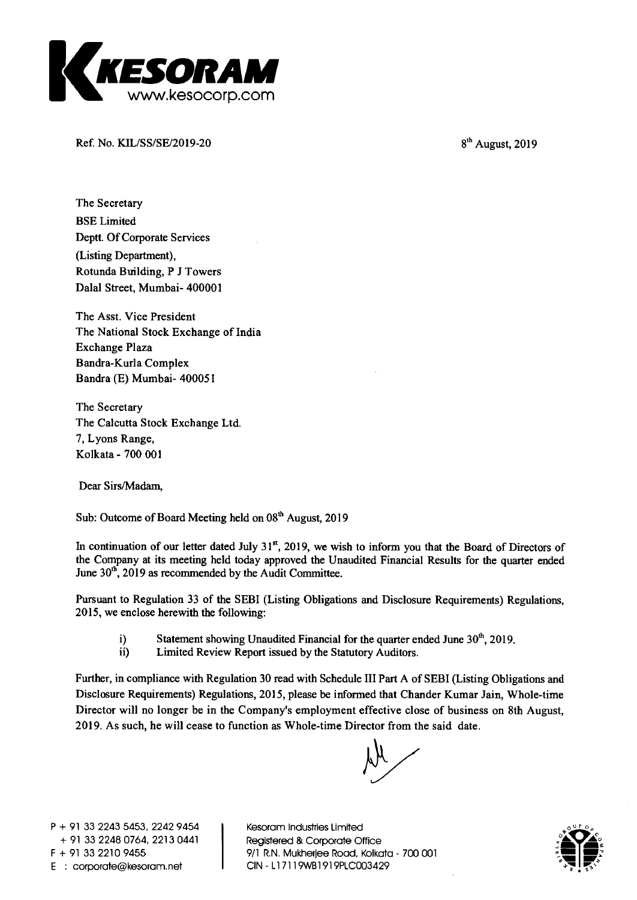

**Ref. No. KIL/SS/SE/2019-20** 8<sup>th</sup> August, 2019

**The Secretary BSE Limited Deptt. Of Corporate Services (Listing Department), Rotunda Building, P J Towers Dalai Street, Mumbai- 400001** 

**The Asst. Vice President The National Stock Exchange of India Exchange Plaza Bandra-Kurla Complex Bandra (E) Mumbai- 400051** 

**The Secretary The Calcutta Stock Exchange Ltd. 7, Lyons Range, Kolkata - 700 001** 

**Dear Sirs/Madam,** 

Sub: Outcome of Board Meeting held on 08<sup>th</sup> August, 2019

In continuation of our letter dated July 31<sup>st</sup>, 2019, we wish to inform you that the Board of Directors of **the Company at its meeting held today approved the Unaudited Financial Results for the quarter ended**  June 30<sup>th</sup>, 2019 as recommended by the Audit Committee.

**Pursuant to Regulation 33 of the SEBI (Listing Obligations and Disclosure Requirements) Regulations, 2015, we enclose herewith the following:** 

- **i) Statement showing Unaudited Financial for the quarter ended June 30<sup>th</sup>, 2019.<br>
<b>iii** Limited Review Report issued by the Statutory Auditors.
- **ii) Limited Review Report issued by the Statutory Auditors.**

**Further, in compliance with Regulation 30 read with Schedule HI Part A of SEBI (Listing Obligations and Disclosure Requirements) Regulations, 2015, please be informed that Chander Kumar Jain, Whole-time Director will no longer be in the Company's employment effective close of business on 8th August, 2019. As such, he will cease to function as Whole-time Director from the said date.** 

**P + 91 33 2243 5453, 2242 9454 + 91 33 2248 0764, 2213 0441 F + 91 33 2210 9455 E : corporate@kesoram.net** 

**Kesoram Industries Limited Registered & Corporate Office 9/1 R.N. Mukherjee Road, Kolkata - 700 001 CIN - Li 7119WB1919PLC003429** 

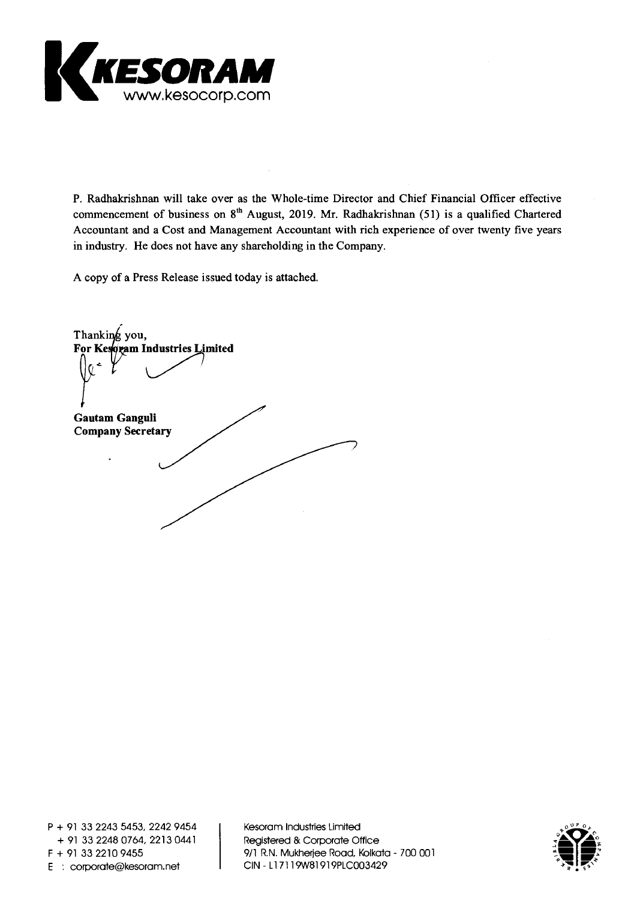

**P. Radhakrishnan will take over as the Whole-time Director and Chief Financial Officer effective**  commencement of business on 8<sup>th</sup> August, 2019. Mr. Radhakrishnan (51) is a qualified Chartered **Accountant and a Cost and Management Accountant with rich experience of over twenty five years in industry. He does not have any shareholding in the Company.** 

**A copy of a Press Release issued today is attached.** 

Thanking you, **For Ke ram Industries Limited Gautam Ganguli Company Secretary** 

**Kesoram Industries Limited Registered & Corporate Office 9/1 R.N. Mukherjee Road, Kolkata - 700 001 CIN - LI 7119WB1919PLC003429** 

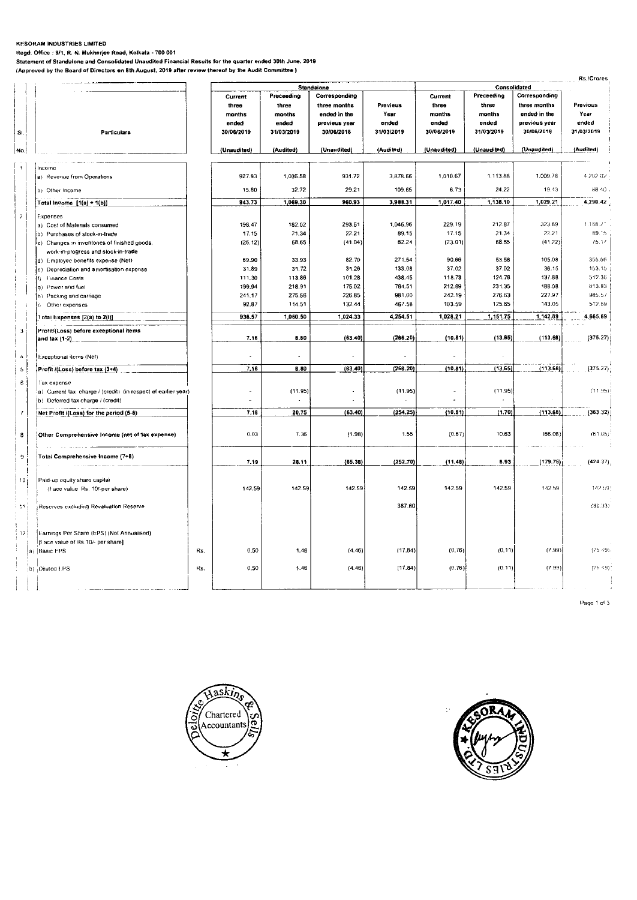#### **KFSORAM INDUSTRIES LIMITED**

**Regd. Office : 9/1, R. N. Mukherjee Road, Kolkata - 700 001** 

**Statement of Standalone and Consolidated Unaudited Financial Results for the quarter ended 30th June. 2019 (Approved by the Board of Directors on 8th August, 2019 after review thereof by the Audit Committee )** 

|                          |  |                                                               |     |                     |                     |                             |                     |                     |                     |                             | <b>Rs./Crores</b>   |
|--------------------------|--|---------------------------------------------------------------|-----|---------------------|---------------------|-----------------------------|---------------------|---------------------|---------------------|-----------------------------|---------------------|
|                          |  |                                                               |     |                     |                     | Standalone                  | Consolidated        |                     |                     |                             |                     |
|                          |  |                                                               |     | Current             | Preceeding          | Corresponding               |                     | Current             | Preceeding          | Corresponding               |                     |
|                          |  |                                                               |     | three               | three               | three months                | Previeus            | three               | three               | three months                | Previous            |
|                          |  |                                                               |     | months              | months              | ended in the                | Year                | months              | months              | ended in the                | Year                |
| SI.                      |  | <b>Particulars</b>                                            |     | ended<br>30/06/2019 | ended<br>31/03/2019 | previeus year<br>30/06/2018 | ended<br>31/03/2019 | ended<br>30/06/2019 | ended<br>31/03/2019 | previous year<br>30/06/2018 | ended<br>31/03/2019 |
| No.                      |  |                                                               |     | (Unaudited)         | (Audited)           | (Unaudited)                 | (Audited)           | (Unaudited)         | (Unaudited)         | (Unaudited)                 | (Audited)           |
|                          |  |                                                               |     |                     |                     |                             |                     |                     |                     |                             |                     |
| $\mathbf{1}$             |  | Income<br>a) Revenue from Operations                          |     | 927.93              | 1,036.58            | 931.72                      | 3.878.66            | 1,010.67            | 1,113.88            | 1,009.78                    | 4,202.02            |
|                          |  | b) Other Income                                               |     | 15.80               | 32.72               | 29.21                       | 109.65              | 6.73                | 24.22               | 19.43                       | 88.40               |
|                          |  | Total income [1(a) + 1(b)]                                    |     | 943.73              | 1,069.30            | 960.93                      | 3,988.31            | 1,017.40            | 1,138.10            | 1,029.21                    | 4,290.42            |
| $\overline{\mathcal{E}}$ |  | Expenses                                                      |     |                     |                     |                             |                     |                     |                     |                             |                     |
|                          |  | a) Cost of Materials consumed                                 |     | 198.47              | 182.02              | 293.61                      | 1,046.96            | 229.19              | 212.87              | 323.69                      | 1.168.27            |
|                          |  | b) Purchases of stock-in-trade                                |     | 17.15               | 21.34               | 22.21                       | 89.15               | 17.15               | 21.34               | 22.21                       | 89.15               |
|                          |  | e) Changes in inventories of finished goods,                  |     | (26.12)             | 68.65               | (41.04)                     | 62.24               | (23.01)             | 68.55               | (41.22)                     | 15.11               |
|                          |  | work-in-progress and stock-in-trade                           |     |                     |                     |                             |                     |                     |                     |                             |                     |
|                          |  | d) Employee benefits expense (Net)                            |     | 69.90               | 33.93               | 82.70                       | 271.54              | 90.66               | 53.56               | 105.08                      | 355.56              |
|                          |  | e) Depreciation and amortisation expense                      |     | 31.89               | 31.72               | 31.26                       | 133.08              | 37.02               | 37.02               | 36.15                       | 153.15              |
|                          |  | f) Finance Costs                                              |     | 111.30              | 113.86              | 101.28                      | 438.45              | 118.73              | 124.78              | 137.88                      | 512.36              |
|                          |  | g) Power and fuel                                             |     | 199.94              | 218.91              | 175.02                      | 764.51              | 212.69              | 231.35              | 188.08                      | 813.83              |
|                          |  | h) Packing and carriage                                       |     | 241.17              | 275.56              | 226.85                      | 981.00              | 242.19              | 276.63              | 227.97                      | 985.57              |
|                          |  | i) Other expenses                                             |     | 92.87               | 114.51              | 132.44                      | 467.58              | 103.59              | 125.65              | 143.05                      | 512.69              |
|                          |  | Total Expenses [2(a) to 2(i)]                                 |     | 936.57              | 1,060.50            | 1,024.33                    | 4,254.51            | 1,028.21            | 1,151.75            | 1,142.89                    | 4,665.69            |
| 3                        |  | Profit/(Loss) before exceptional items<br>and $\{ax(1-2)\}$   |     | 7.16                | 8.80                | (63.40)                     | (266.20)            | (10.81)             | (13.65)             | (113.68)                    | (375.27)            |
| $\pmb{\Lambda}$          |  | Exceptional items (Net)                                       |     |                     |                     |                             |                     |                     |                     |                             |                     |
| 5                        |  | Profit /(Loss) before tax (3+4)                               |     | 7.16                | 8.80                | (63.40)                     | (266.20)            | (10.81)             | (13.65)             | (113.68)                    | (375.27)            |
|                          |  |                                                               |     |                     |                     |                             |                     |                     |                     |                             |                     |
| $\mathbf 6$              |  | l'ax expense                                                  |     |                     |                     |                             |                     |                     |                     |                             |                     |
|                          |  | a) Current tax charge / (credit) (in respect of earlier year) |     |                     | (11.95)             |                             | (11.95)             |                     | (11.95)             |                             | (11.95)             |
|                          |  | b) Deferred tax charge / (credit)                             |     |                     |                     |                             |                     |                     |                     |                             |                     |
|                          |  | Net Profit /(Loss) for the period (5-6)                       |     | 7.18                | 20.75               | (63.40)                     | (254.25)            | (10.81)             | (1.70)              | (113,68)                    | (363.32)            |
| 8                        |  | Other Comprehensive Income (net of fax expense)               |     | 0.03                | 7.36                | (1.98)                      | 1.55                | (0.67)              | 10.63               | (66.08)                     | (61.05)             |
| 9                        |  | Total Comprehensive Income (7+8)<br>the company was also      |     | 7.19                | 28.11               | (65.38)                     | (252.70)            | (11.48)             | 8.93                | (179.76)                    | (424.37)            |
|                          |  |                                                               |     |                     |                     |                             |                     |                     |                     |                             |                     |
| 10i                      |  | Paid-up equity share capital                                  |     |                     |                     |                             |                     |                     |                     |                             |                     |
|                          |  | (Face value Rs. 10/-per share)                                |     | 142.59              | 142.59              | 142.59                      | 142.59              | 142.59              | 142.59              | 142.59                      | 142.59              |
| 44.                      |  | Reserves excluding Revaluation Reserve                        |     |                     |                     |                             | 387.60              |                     |                     |                             | (30.33)             |
| -12 }                    |  | Earnings Per Share (EPS) (Not Annualised)                     |     |                     |                     |                             |                     |                     |                     |                             |                     |
|                          |  | If ace value of Rs.10/- per share)                            |     |                     |                     |                             |                     |                     |                     |                             |                     |
|                          |  | a) Basic EPS                                                  | Rs. | 0.50                | 1.46                | (4.46)                      | (17.84)             | (0.76)              | (0.11)              | (7.99)                      | (25.49)             |
|                          |  |                                                               |     |                     |                     |                             |                     |                     |                     |                             |                     |
|                          |  | (b) Diluted LPS                                               | Rs. | 0.50                | 1.46                | (4.46)                      | (17.84)             | (0.76)              | (0.11)              | (7.99)                      | $(25.49)^{4}$       |
|                          |  |                                                               |     |                     |                     |                             |                     |                     |                     |                             |                     |

Page 1 of 3



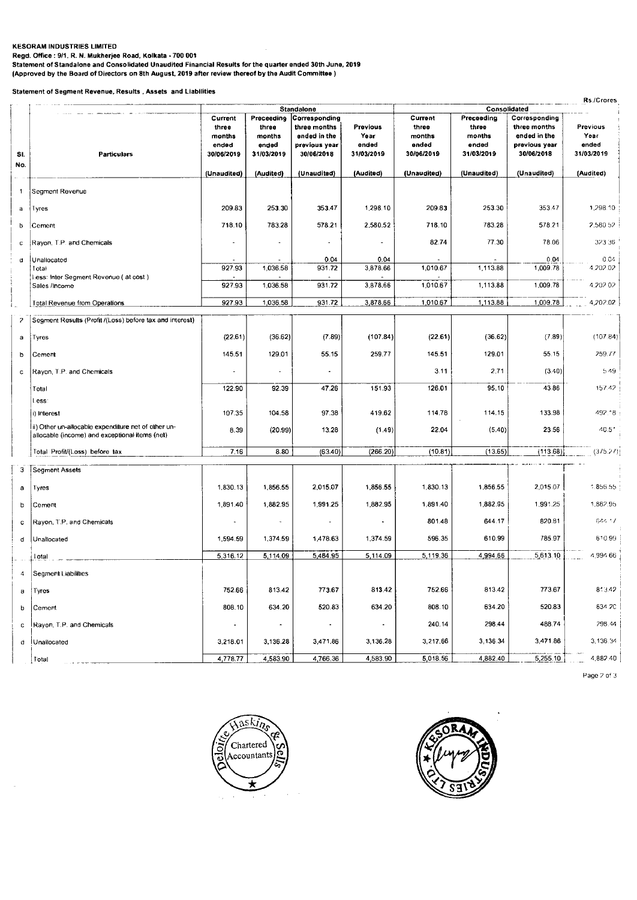### **KESORAM INDUSTRIES LIMITED**

**Regd. Office : 9/1. R. N. Mukherjee Road, Kolkata - 700 001 Statement of Standalone and Consolidated Unaudited Financial Results for the quarter ended 30th June, 2019 (Approved by the Board of Directors on 8th August, 2019 after review thereof by the Audit Committee )** 

**Statement of Segment Revenue, Results , Assets and Liabilities** 

|     | Rs./Crores<br>Consolidated                                         |                                                   |                                                      |                                                                                            |                                                |                                                   |                                                      |                                                                              |                                         |  |
|-----|--------------------------------------------------------------------|---------------------------------------------------|------------------------------------------------------|--------------------------------------------------------------------------------------------|------------------------------------------------|---------------------------------------------------|------------------------------------------------------|------------------------------------------------------------------------------|-----------------------------------------|--|
| SI. | <b>Particulars</b>                                                 | Current<br>three<br>months<br>ended<br>30/06/2019 | Preceeding<br>three<br>months<br>ended<br>31/03/2019 | Standalone<br>Corresponding<br>three months<br>ended in the<br>previous year<br>30/06/2018 | <b>Previous</b><br>Year<br>ended<br>31/03/2019 | Current<br>three<br>months<br>ended<br>30/06/2019 | Preceeding<br>three<br>months<br>ended<br>31/03/2019 | Corresponding<br>three months<br>ended in the<br>previous year<br>30/06/2018 | Previous<br>Year<br>ended<br>31/03/2019 |  |
| No. |                                                                    |                                                   |                                                      |                                                                                            |                                                |                                                   |                                                      |                                                                              |                                         |  |
|     |                                                                    | (Unaudited)                                       | (Audited)                                            | (Unaudited)                                                                                | (Audited)                                      | (Unaudited)                                       | (Unaudited)                                          | (Unaudited)                                                                  | (Audited)                               |  |
| 1   | Segment Revenue                                                    |                                                   |                                                      |                                                                                            |                                                |                                                   |                                                      |                                                                              |                                         |  |
| a   | Tyres                                                              | 209.83                                            | 253.30                                               | 353.47                                                                                     | 1,298.10                                       | 209.83                                            | 253.30                                               | 353.47                                                                       | 1,298.10                                |  |
| b   | Cement                                                             | 718.10                                            | 783.28                                               | 578.21                                                                                     | 2,580.52                                       | 718.10                                            | 783.28                                               | 578.21                                                                       | 2.580.52                                |  |
| с   | Rayon, T.P. and Chemicals                                          | $\blacksquare$                                    |                                                      | $\blacksquare$                                                                             |                                                | 82.74                                             | 77.30                                                | 78.06                                                                        | 323 36                                  |  |
| d   | Unallocated                                                        |                                                   |                                                      | 0.04                                                                                       | 0.04                                           |                                                   |                                                      | 0.04                                                                         | 0.04                                    |  |
|     | Total<br>i.ess: Inter Segment Revenue (at cost)                    | 927.93                                            | 1,036.58                                             | 931.72                                                                                     | 3,878.66                                       | 1,010.67                                          | 1,113.88                                             | 1,009.78                                                                     | 4.202.02                                |  |
|     | Sales /Income                                                      | 927.93                                            | 1,036.58                                             | 931.72                                                                                     | 3,878.66                                       | 1,010.67                                          | 1,113.88                                             | 1,009.78                                                                     | 4.202.02                                |  |
|     | <b>Total Revenue from Operations</b>                               | 927.93                                            | 1,036.58                                             | 931.72                                                                                     | 3,878.66                                       | 1,010.67                                          | 1,113.88                                             | 1,009.78                                                                     | 4,202.02                                |  |
| 2   | Segment Results (Profit /(Loss) before tax and interest)           |                                                   |                                                      |                                                                                            |                                                |                                                   |                                                      |                                                                              |                                         |  |
| a   | Tyres                                                              | (22.61)                                           | (36.62)                                              | (7.89)                                                                                     | (107.84)                                       | (22.61)                                           | (36.62)                                              | (7.89)                                                                       | (107.84)                                |  |
| b   | Cement                                                             | 145.51                                            | 129.01                                               | 55.15                                                                                      | 259.77                                         | 145.51                                            | 129.01                                               | 55.15                                                                        | 259.77                                  |  |
| c   | Rayon, T.P. and Chemicals                                          |                                                   |                                                      |                                                                                            |                                                | 3.11                                              | 2.71                                                 | (3.40)                                                                       | 5.49                                    |  |
|     | Total                                                              | 122.90                                            | 92.39                                                | 47.26                                                                                      | 151.93                                         | 126.01                                            | 95.10                                                | 43.86                                                                        | 157.42                                  |  |
|     | l.ess:                                                             |                                                   |                                                      |                                                                                            |                                                |                                                   |                                                      |                                                                              |                                         |  |
|     | i) Interest<br>ii) Other un-allocable expenditure net of other un- | 107.35                                            | 104.58                                               | 97.38                                                                                      | 419.62                                         | 114.78                                            | 114.15                                               | 133.98                                                                       | 492.18                                  |  |
|     | allocable (income) and exceptional items (net)                     | 8.39                                              | (20.99)                                              | 13.28                                                                                      | (1.49)                                         | 22.04                                             | (5.40)                                               | 23.56                                                                        | 40.51                                   |  |
|     | Total Profit/(Loss) before tax                                     | 7.16                                              | 8.80                                                 | (63.40)                                                                                    | (266.20)                                       | (10.81)                                           | (13.65)                                              | (113.68)                                                                     | (375.27)                                |  |
| 3   | Segment Assets                                                     |                                                   |                                                      |                                                                                            |                                                |                                                   |                                                      |                                                                              |                                         |  |
| a   | Tyres                                                              | 1,830.13                                          | 1,856.55                                             | 2,015.07                                                                                   | 1,856.55                                       | 1,830.13                                          | 1,856.55                                             | 2,015.07                                                                     | 1.856.55                                |  |
| b   | Cement                                                             | 1,891.40                                          | 1,882.95                                             | 1,991.25                                                                                   | 1,882.95                                       | 1,891.40                                          | 1,882.95                                             | 1,991.25                                                                     | 1,882.95                                |  |
| c   | Rayon, T.P. and Chemicals                                          |                                                   |                                                      |                                                                                            |                                                | 801.48                                            | 644.17                                               | 820.81                                                                       | 644.17                                  |  |
| d   | Unallocated                                                        | 1,594.59                                          | 1,374.59                                             | 1,478.63                                                                                   | 1,374.59                                       | 596.35                                            | 610.99                                               | 785.97                                                                       | 610.99                                  |  |
|     | Total                                                              | 5,316.12                                          | 5,114.09                                             | 5,484.95                                                                                   | 5,114.09                                       | 5,119.36                                          | 4,994.66                                             | 5,613.10                                                                     | 4,994.66                                |  |
|     | Segment Liabilities                                                |                                                   |                                                      |                                                                                            |                                                |                                                   |                                                      |                                                                              |                                         |  |
| а   | Tyres                                                              | 752.66                                            | 813.42                                               | 773.67                                                                                     | 813.42                                         | 752.66                                            | 813.42                                               | 773.67                                                                       | 813.42                                  |  |
| b   | Cement                                                             | 808.10                                            | 634.20                                               | 520.83                                                                                     | 634.20                                         | 808.10                                            | 634.20                                               | 520.83                                                                       | 634.20                                  |  |
| c   | Rayon, T.P. and Chemicals                                          | $\overline{\phantom{a}}$                          | $\overline{\phantom{a}}$                             | $\sim$                                                                                     |                                                | 240.14                                            | 298.44                                               | 488.74                                                                       | 298.44                                  |  |
| d   | Unallocated                                                        | 3,218.01                                          | 3,136.28                                             | 3,471.86                                                                                   | 3,136.28                                       | 3,217.66                                          | 3,136.34                                             | 3,471.86                                                                     | 3,136.34                                |  |
|     | Total                                                              | 4,778.77                                          | 4,583.90                                             | 4,766.36                                                                                   | 4,583.90                                       | 5,018.56                                          | 4,882.40                                             | 5,255.10                                                                     | 4,882.40                                |  |
|     |                                                                    |                                                   |                                                      |                                                                                            |                                                |                                                   |                                                      |                                                                              |                                         |  |

Page 7 of 3



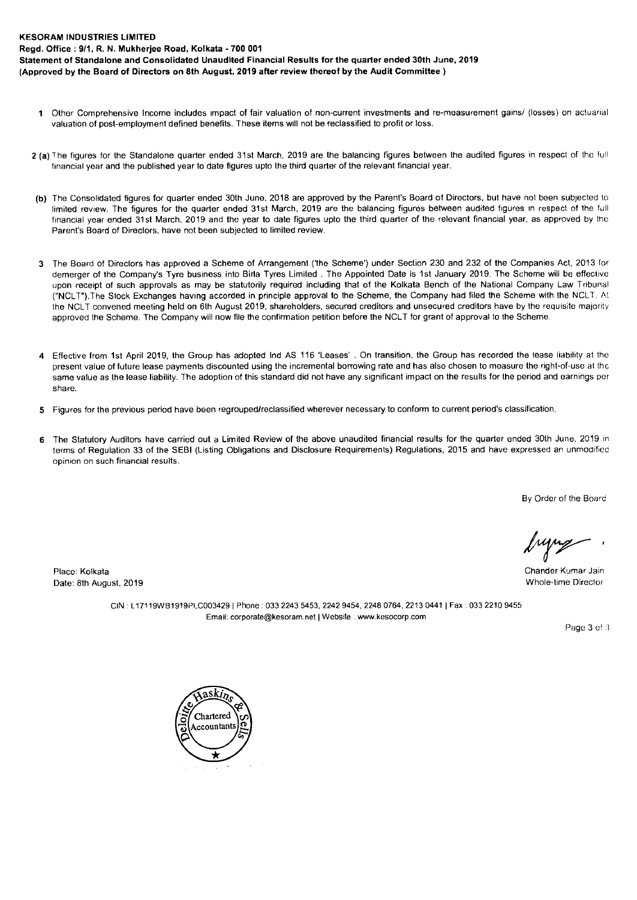#### **KESORAM INDUSTRIES LIMITED**

Date: 8th August, 2019

**Regd. Office : 9/1, R. N. Mukherjee Road, Kolkata - 700 001** 

**Statement of Standalone and Consolidated Unaudited Financial Results for the quarter ended 30th June, 2019 (Approved by the Board of Directors on 8th August, 2019 after review thereof by the Audit Committee )** 

- **<sup>1</sup>**Other Comprehensive Income includes impact of fair valuation of non-current investments and re-measurement gains/ (losses) on actuarial valuation of post-employment defined benefits. These items will not be reclassified to profit or loss.
- **2 (a)** The figures for the Standalone quarter ended 31st March, 2019 are the balancing figures between the audited figures in respect of the full financial year and the published year to date figures upto the third quarter of the relevant financial year.
- **(b)** The Consolidated figures for quarter ended 30th June, 2018 are approved by the Parent's Board of Directors, but have not been subjected to limited review. The figures for the quarter ended 31st March, 2019 are the balancing figures between audited figures in respect of the full financial year ended 31st March, 2019 and the year to date figures upto the third quarter of the relevant financial year, as approved by the Parent's Board of Directors, have not been subjected to limited review.
- 3 The Board of Directors has approved a Scheme of Arrangement ('the Scheme') under Section 230 and 232 of the Companies Act, 2013 for demerger of the Company's Tyre business into Birla Tyres Limited . The Appointed Date is 1st January 2019. The Scheme will be effective upon receipt of such approvals as may be statutorily required including that of the Kolkata Bench of the National Company Law Tribunal ("NCLT").The Stock Exchanges having accorded in principle approval to the Scheme, the Company had filed the Scheme with the NCLT. At the NCLT convened meeting held on 6th August 2019, shareholders, secured creditors and unsecured creditors have by the requisite majority approved the Scheme. The Company will now file the confirmation petition before the NCLT for grant of approval to the Scheme.
- **4** Effective from 1st April 2019, the Group has adopted Ind AS 116 'Leases' . On transition, the Group has recorded the lease liability at the present value of future lease payments discounted using the incremental borrowing rate and has also chosen to measure the right-of-use at the same value as the lease liability. The adoption of this standard did not have any significant impact on the results for the period and earnings per share.
- 5 Figures for the previous period have been regrouped/reclassified wherever necessary to conform to current period's classification.
- **6** The Statutory Auditors have carried out a Limited Review of the above unaudited financial results for the quarter ended 30th June, 2019 in terms of Regulation 33 of the SEBI (Listing Obligations and Disclosure Requirements) Regulations, 2015 and have expressed an unmodified opinion on such financial results.

By Order of the Board

Place: Kolkata Chander Kumar Jain

CIN : L17119WB1919PLC003429 | Phone : 033 2243 5453, 2242 9454, 2248 0764, 2213 0441 | Fax : 033 2210 9455 Email: corporate@kesoram.net | Website : www.kesocorp.com

Page 3 of 3

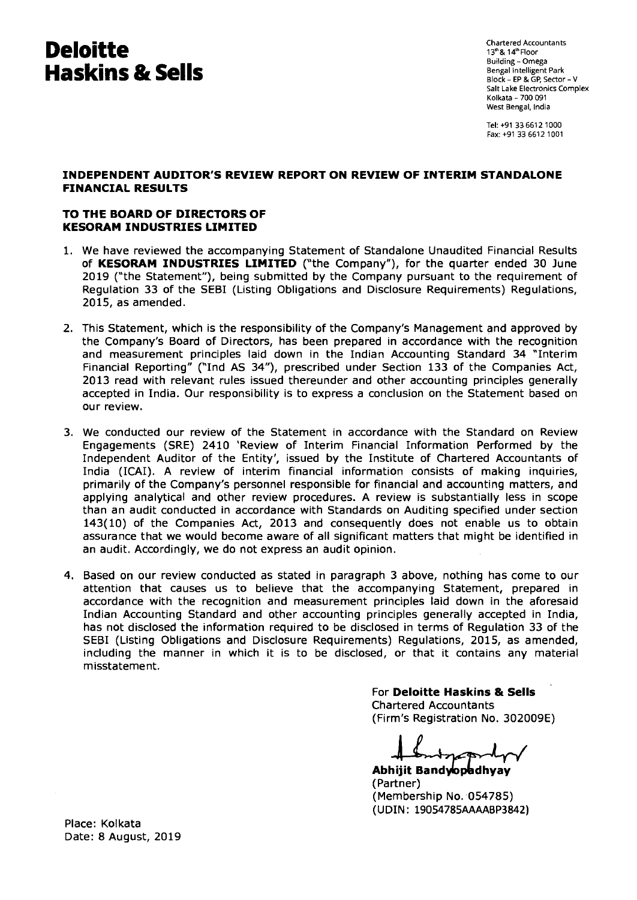# **Deloitte Haskins & Sells**

Chartered Accountants 13" & 14°Floor Building - Omega Bengal Intelligent Park Block - EP & GP, Sector - V Salt Lake Electronics Complex Kolkata - 700 091 West Bengal, India

Tel: +91 33 6612 1000 Fax: +91 33 6612 1001

### **INDEPENDENT AUDITOR'S REVIEW REPORT ON REVIEW OF INTERIM STANDALONE FINANCIAL RESULTS**

## **TO THE BOARD OF DIRECTORS OF KESORAM INDUSTRIES LIMITED**

- 1. We have reviewed the accompanying Statement of Standalone Unaudited Financial Results of **KESORAM INDUSTRIES LIMITED** ("the Company"), for the quarter ended 30 June 2019 ("the Statement"), being submitted by the Company pursuant to the requirement of Regulation 33 of the SEBI (Listing Obligations and Disclosure Requirements) Regulations, 2015, as amended.
- 2. This Statement, which is the responsibility of the Company's Management and approved by the Company's Board of Directors, has been prepared in accordance with the recognition and measurement principles laid down in the Indian Accounting Standard 34 "Interim Financial Reporting" ("Ind AS 34"), prescribed under Section 133 of the Companies Act, 2013 read with relevant rules issued thereunder and other accounting principles generally accepted in India. Our responsibility is to express a conclusion on the Statement based on our review.
- 3. We conducted our review of the Statement in accordance with the Standard on Review Engagements (SRE) 2410 'Review of Interim Financial Information Performed by the Independent Auditor of the Entity', issued by the Institute of Chartered Accountants of India (ICAI). A review of interim financial information consists of making inquiries, primarily of the Company's personnel responsible for financial and accounting matters, and applying analytical and other review procedures. A review is substantially less in scope than an audit conducted in accordance with Standards on Auditing specified under section 143(10) of the Companies Act, 2013 and consequently does not enable us to obtain assurance that we would become aware of all significant matters that might be identified in an audit. Accordingly, we do not express an audit opinion.
- 4. Based on our review conducted as stated in paragraph 3 above, nothing has come to our attention that causes us to believe that the accompanying Statement, prepared in accordance with the recognition and measurement principles laid down in the aforesaid Indian Accounting Standard and other accounting principles generally accepted in India, has not disclosed the information required to be disclosed in terms of Regulation 33 of the SEBI (Listing Obligations and Disclosure Requirements) Regulations, 2015, as amended, including the manner in which it is to be disclosed, or that it contains any material misstatement.

For **Deloitte Haskins & Sells**  Chartered Accountants (Firm's Registration No. 302009E)

 $n \rightarrow$ 

Abhijit Bandyopadh (Partner) (Membership No. 054785) (UDIN: 19054785AAAABP3842)

Place: Kolkata Date: 8 August, 2019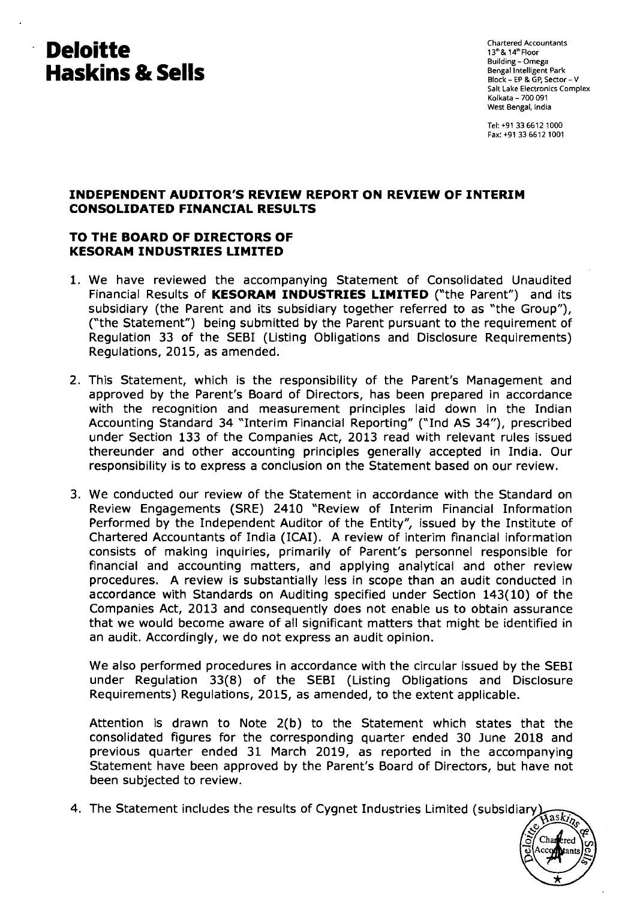# **Deloitte Haskins & Sells**

Chartered Accountants 13"& 14' Floor Building - Omega Bengal Intelligent Park Block - EP & GP, Sector - V Salt Lake Electronics Complex Kolkata - 700 091 West Bengal, India

Tel: +91 33 6612 1000 Fax: +91 33 6612 1001

## **INDEPENDENT AUDITOR'S REVIEW REPORT ON REVIEW OF INTERIM CONSOLIDATED FINANCIAL RESULTS**

## **TO THE BOARD OF DIRECTORS OF KESORAM INDUSTRIES LIMITED**

- 1. We have reviewed the accompanying Statement of Consolidated Unaudited Financial Results of **KESORAM INDUSTRIES LIMITED** ("the Parent") and its subsidiary (the Parent and its subsidiary together referred to as "the Group"), ("the Statement") being submitted by the Parent pursuant to the requirement of Regulation 33 of the SEBI (Listing Obligations and Disclosure Requirements) Regulations, 2015, as amended.
- 2. This Statement, which is the responsibility of the Parent's Management and approved by the Parent's Board of Directors, has been prepared in accordance with the recognition and measurement principles laid down in the Indian Accounting Standard 34 "Interim Financial Reporting" ("Ind AS 34"), prescribed under Section 133 of the Companies Act, 2013 read with relevant rules issued thereunder and other accounting principles generally accepted in India. Our responsibility is to express a conclusion on the Statement based on our review.
- 3. We conducted our review of the Statement in accordance with the Standard on Review Engagements (SRE) 2410 "Review of Interim Financial Information Performed by the Independent Auditor of the Entity", issued by the Institute of Chartered Accountants of India (ICAI). A review of interim financial information consists of making inquiries, primarily of Parent's personnel responsible for financial and accounting matters, and applying analytical and other review procedures. A review is substantially less in scope than an audit conducted in accordance with Standards on Auditing specified under Section 143(10) of the Companies Act, 2013 and consequently does not enable us to obtain assurance that we would become aware of all significant matters that might be identified in an audit. Accordingly, we do not express an audit opinion.

We also performed procedures in accordance with the circular issued by the SEBI under Regulation 33(8) of the SEBI (Listing Obligations and Disclosure Requirements) Regulations, 2015, as amended, to the extent applicable.

Attention is drawn to Note 2(b) to the Statement which states that the consolidated figures for the corresponding quarter ended 30 June 2018 and previous quarter ended 31 March 2019, as reported in the accompanying Statement have been approved by the Parent's Board of Directors, but have not been subjected to review.

4. The Statement includes the results of Cygnet Industries Limited (subsidiary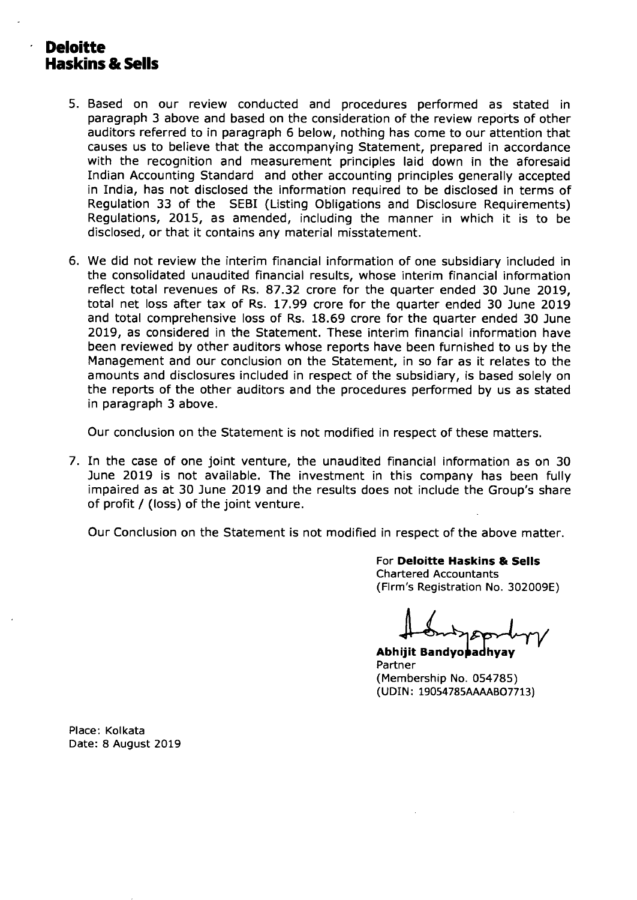# **Deloitte Haskins & Sells**

- 5. Based on our review conducted and procedures performed as stated in paragraph 3 above and based on the consideration of the review reports of other auditors referred to in paragraph 6 below, nothing has come to our attention that causes us to believe that the accompanying Statement, prepared in accordance with the recognition and measurement principles laid down in the aforesaid Indian Accounting Standard and other accounting principles generally accepted in India, has not disclosed the information required to be disclosed in terms of Regulation 33 of the SEBI (Listing Obligations and Disclosure Requirements) Regulations, 2015, as amended, including the manner in which it is to be disclosed, or that it contains any material misstatement.
- 6. We did not review the interim financial information of one subsidiary included in the consolidated unaudited financial results, whose interim financial information reflect total revenues of Rs. 87.32 crore for the quarter ended 30 June 2019, total net loss after tax of Rs. 17.99 crore for the quarter ended 30 June 2019 and total comprehensive loss of Rs. 18.69 crore for the quarter ended 30 June 2019, as considered in the Statement. These interim financial information have been reviewed by other auditors whose reports have been furnished to us by the Management and our conclusion on the Statement, in so far as it relates to the amounts and disclosures included in respect of the subsidiary, is based solely on the reports of the other auditors and the procedures performed by us as stated in paragraph 3 above.

Our conclusion on the Statement is not modified in respect of these matters.

7. In the case of one joint venture, the unaudited financial information as on 30 June 2019 is not available. The investment in this company has been fully impaired as at 30 June 2019 and the results does not include the Group's share of profit / (loss) of the joint venture.

Our Conclusion on the Statement is not modified in respect of the above matter.

For **Deloitte Haskins & Sells**  Chartered Accountants (Firm's Registration No. 302009E)

**Abhijit Bandyopadhyay** Partner (Membership No. 054785) (UDIN: 19054785AAAAB07713)

Place: Kolkata Date: 8 August 2019